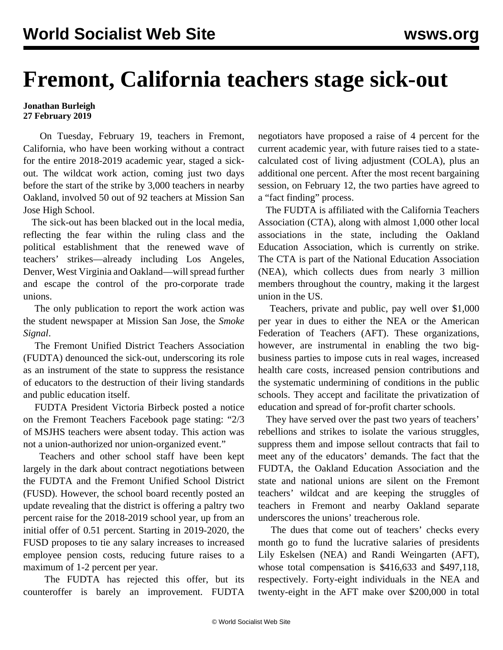## **Fremont, California teachers stage sick-out**

## **Jonathan Burleigh 27 February 2019**

 On Tuesday, February 19, teachers in Fremont, California, who have been working without a contract for the entire 2018-2019 academic year, staged a sickout. The wildcat work action, coming just two days before the start of the strike by 3,000 teachers in nearby Oakland, involved 50 out of 92 teachers at Mission San Jose High School.

 The sick-out has been blacked out in the local media, reflecting the fear within the ruling class and the political establishment that the renewed wave of teachers' strikes—already including Los Angeles, Denver, West Virginia and Oakland—will spread further and escape the control of the pro-corporate trade unions.

 The only publication to report the work action was the student newspaper at Mission San Jose, the *Smoke Signal*.

 The Fremont Unified District Teachers Association (FUDTA) denounced the sick-out, underscoring its role as an instrument of the state to suppress the resistance of educators to the destruction of their living standards and public education itself.

 FUDTA President Victoria Birbeck posted a notice on the Fremont Teachers Facebook page stating: "2/3 of MSJHS teachers were absent today. This action was not a union-authorized nor union-organized event."

 Teachers and other school staff have been kept largely in the dark about contract negotiations between the FUDTA and the Fremont Unified School District (FUSD). However, the school board recently posted an update revealing that the district is offering a paltry two percent raise for the 2018-2019 school year, up from an initial offer of 0.51 percent. Starting in 2019-2020, the FUSD proposes to tie any salary increases to increased employee pension costs, reducing future raises to a maximum of 1-2 percent per year.

 The FUDTA has rejected this offer, but its counteroffer is barely an improvement. FUDTA

negotiators have proposed a raise of 4 percent for the current academic year, with future raises tied to a statecalculated cost of living adjustment (COLA), plus an additional one percent. After the most recent bargaining session, on February 12, the two parties have agreed to a "fact finding" process.

 The FUDTA is affiliated with the California Teachers Association (CTA), along with almost 1,000 other local associations in the state, including the Oakland Education Association, which is currently on strike. The CTA is part of the National Education Association (NEA), which collects dues from nearly 3 million members throughout the country, making it the largest union in the US.

 Teachers, private and public, pay well over \$1,000 per year in dues to either the NEA or the American Federation of Teachers (AFT). These organizations, however, are instrumental in enabling the two bigbusiness parties to impose cuts in real wages, increased health care costs, increased pension contributions and the systematic undermining of conditions in the public schools. They accept and facilitate the privatization of education and spread of for-profit charter schools.

 They have served over the past two years of teachers' rebellions and strikes to isolate the various struggles, suppress them and impose sellout contracts that fail to meet any of the educators' demands. The fact that the FUDTA, the Oakland Education Association and the state and national unions are silent on the Fremont teachers' wildcat and are keeping the struggles of teachers in Fremont and nearby Oakland separate underscores the unions' treacherous role.

 The dues that come out of teachers' checks every month go to fund the lucrative salaries of presidents Lily Eskelsen (NEA) and Randi Weingarten (AFT), whose total compensation is \$416,633 and \$497,118, respectively. Forty-eight individuals in the NEA and twenty-eight in the AFT make over \$200,000 in total